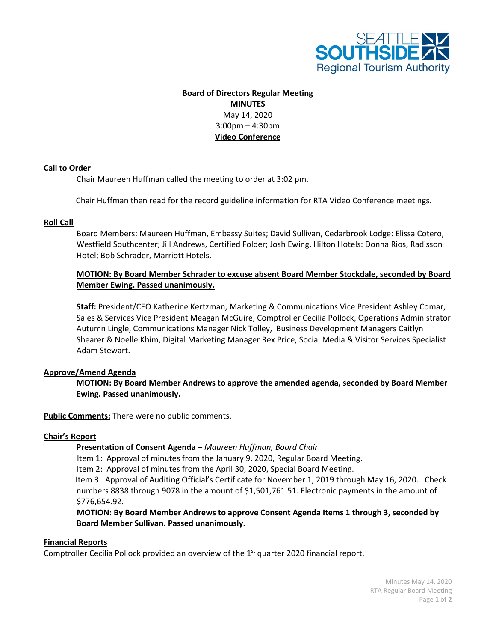

# **Board of Directors Regular Meeting MINUTES** May 14, 2020 3:00pm – 4:30pm **Video Conference**

#### **Call to Order**

Chair Maureen Huffman called the meeting to order at 3:02 pm.

Chair Huffman then read for the record guideline information for RTA Video Conference meetings.

#### **Roll Call**

Board Members: Maureen Huffman, Embassy Suites; David Sullivan, Cedarbrook Lodge: Elissa Cotero, Westfield Southcenter; Jill Andrews, Certified Folder; Josh Ewing, Hilton Hotels: Donna Rios, Radisson Hotel; Bob Schrader, Marriott Hotels.

# **MOTION: By Board Member Schrader to excuse absent Board Member Stockdale, seconded by Board Member Ewing. Passed unanimously.**

**Staff:** President/CEO Katherine Kertzman, Marketing & Communications Vice President Ashley Comar, Sales & Services Vice President Meagan McGuire, Comptroller Cecilia Pollock, Operations Administrator Autumn Lingle, Communications Manager Nick Tolley, Business Development Managers Caitlyn Shearer & Noelle Khim, Digital Marketing Manager Rex Price, Social Media & Visitor Services Specialist Adam Stewart.

## **Approve/Amend Agenda**

**MOTION: By Board Member Andrews to approve the amended agenda, seconded by Board Member Ewing. Passed unanimously.**

**Public Comments:** There were no public comments.

## **Chair's Report**

## **Presentation of Consent Agenda** *– Maureen Huffman, Board Chair*

Item 1: Approval of minutes from the January 9, 2020, Regular Board Meeting.

Item 2: Approval of minutes from the April 30, 2020, Special Board Meeting.

 Item 3: Approval of Auditing Official's Certificate for November 1, 2019 through May 16, 2020. Check numbers 8838 through 9078 in the amount of \$1,501,761.51. Electronic payments in the amount of \$776,654.92.

 **MOTION: By Board Member Andrews to approve Consent Agenda Items 1 through 3, seconded by Board Member Sullivan. Passed unanimously.**

#### **Financial Reports**

Comptroller Cecilia Pollock provided an overview of the  $1<sup>st</sup>$  quarter 2020 financial report.